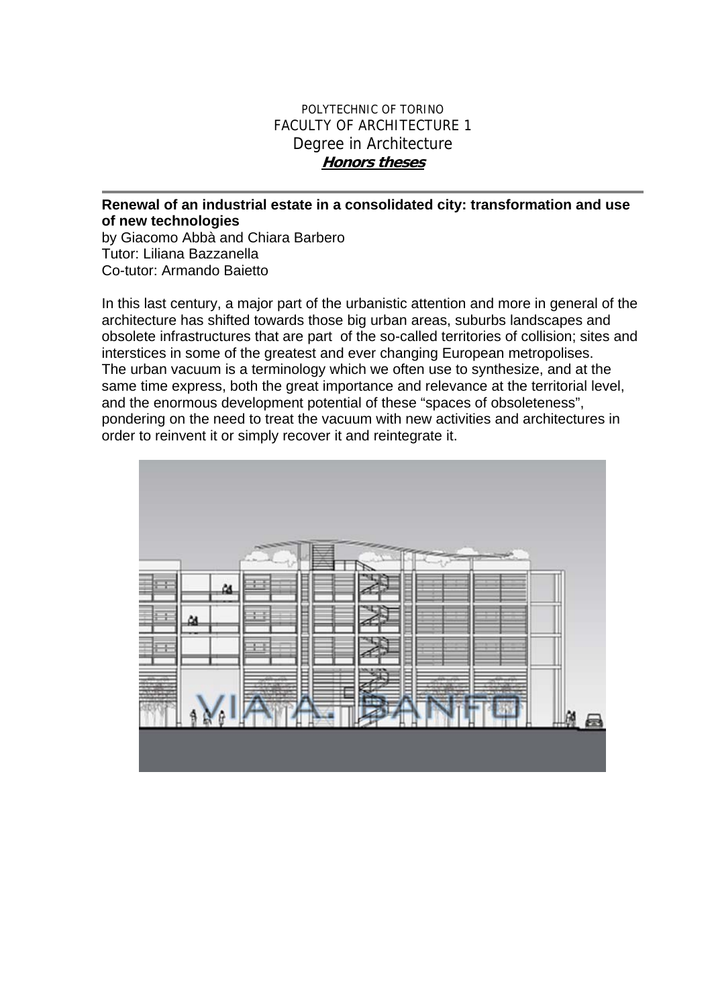## POLYTECHNIC OF TORINO FACULTY OF ARCHITECTURE 1 Degree in Architecture **Honors theses**

## **Renewal of an industrial estate in a consolidated city: transformation and use of new technologies**

by Giacomo Abbà and Chiara Barbero Tutor: Liliana Bazzanella Co-tutor: Armando Baietto

In this last century, a major part of the urbanistic attention and more in general of the architecture has shifted towards those big urban areas, suburbs landscapes and obsolete infrastructures that are part of the so-called territories of collision; sites and interstices in some of the greatest and ever changing European metropolises. The urban vacuum is a terminology which we often use to synthesize, and at the same time express, both the great importance and relevance at the territorial level, and the enormous development potential of these "spaces of obsoleteness", pondering on the need to treat the vacuum with new activities and architectures in order to reinvent it or simply recover it and reintegrate it.

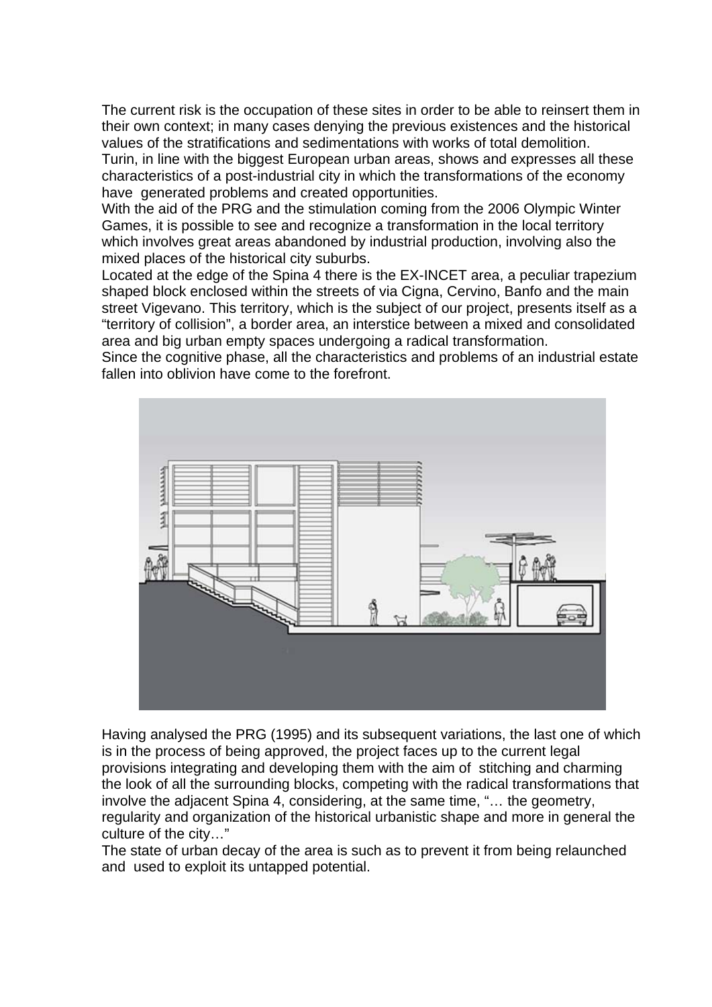The current risk is the occupation of these sites in order to be able to reinsert them in their own context; in many cases denying the previous existences and the historical values of the stratifications and sedimentations with works of total demolition. Turin, in line with the biggest European urban areas, shows and expresses all these characteristics of a post-industrial city in which the transformations of the economy have generated problems and created opportunities.

With the aid of the PRG and the stimulation coming from the 2006 Olympic Winter Games, it is possible to see and recognize a transformation in the local territory which involves great areas abandoned by industrial production, involving also the mixed places of the historical city suburbs.

Located at the edge of the Spina 4 there is the EX-INCET area, a peculiar trapezium shaped block enclosed within the streets of via Cigna, Cervino, Banfo and the main street Vigevano. This territory, which is the subject of our project, presents itself as a "territory of collision", a border area, an interstice between a mixed and consolidated area and big urban empty spaces undergoing a radical transformation.

Since the cognitive phase, all the characteristics and problems of an industrial estate fallen into oblivion have come to the forefront.



Having analysed the PRG (1995) and its subsequent variations, the last one of which is in the process of being approved, the project faces up to the current legal provisions integrating and developing them with the aim of stitching and charming the look of all the surrounding blocks, competing with the radical transformations that involve the adjacent Spina 4, considering, at the same time, "… the geometry, regularity and organization of the historical urbanistic shape and more in general the culture of the city…"

The state of urban decay of the area is such as to prevent it from being relaunched and used to exploit its untapped potential.